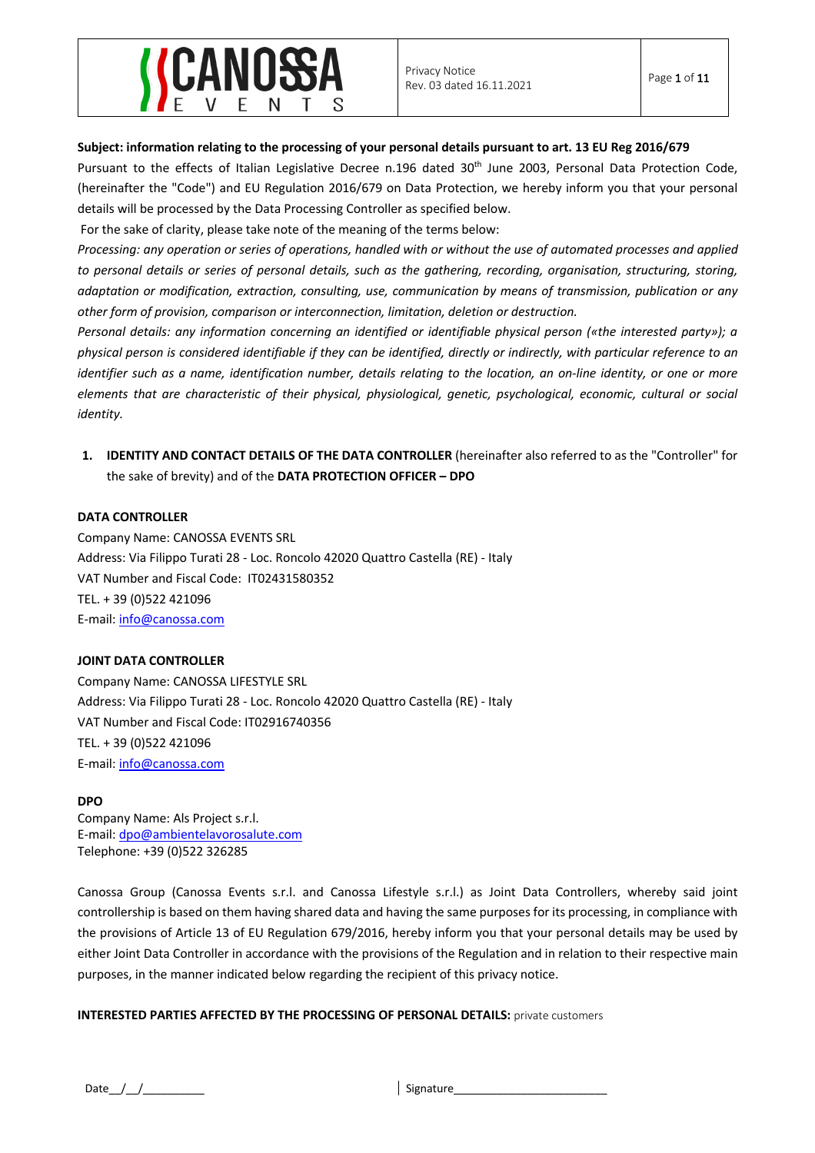

## **Subject: information relating to the processing of your personal details pursuant to art. 13 EU Reg 2016/679**

Pursuant to the effects of Italian Legislative Decree n.196 dated 30<sup>th</sup> June 2003, Personal Data Protection Code, (hereinafter the "Code") and EU Regulation 2016/679 on Data Protection, we hereby inform you that your personal details will be processed by the Data Processing Controller as specified below.

For the sake of clarity, please take note of the meaning of the terms below:

*Processing: any operation or series of operations, handled with or without the use of automated processes and applied to personal details or series of personal details, such as the gathering, recording, organisation, structuring, storing, adaptation or modification, extraction, consulting, use, communication by means of transmission, publication or any other form of provision, comparison or interconnection, limitation, deletion or destruction.*

*Personal details: any information concerning an identified or identifiable physical person («the interested party»); a physical person is considered identifiable if they can be identified, directly or indirectly, with particular reference to an identifier such as a name, identification number, details relating to the location, an on-line identity, or one or more elements that are characteristic of their physical, physiological, genetic, psychological, economic, cultural or social identity.*

## **1. IDENTITY AND CONTACT DETAILS OF THE DATA CONTROLLER** (hereinafter also referred to as the "Controller" for the sake of brevity) and of the **DATA PROTECTION OFFICER – DPO**

#### **DATA CONTROLLER**

Company Name: CANOSSA EVENTS SRL Address: Via Filippo Turati 28 - Loc. Roncolo 42020 Quattro Castella (RE) - Italy VAT Number and Fiscal Code: IT02431580352 TEL. + 39 (0)522 421096 E-mail: info@canossa.com

#### **JOINT DATA CONTROLLER**

Company Name: CANOSSA LIFESTYLE SRL Address: Via Filippo Turati 28 - Loc. Roncolo 42020 Quattro Castella (RE) - Italy VAT Number and Fiscal Code: IT02916740356 TEL. + 39 (0)522 421096 E-mail: info@canossa.com

#### **DPO**

Company Name: Als Project s.r.l. E-mail: dpo@ambientelavorosalute.com Telephone: +39 (0)522 326285

Canossa Group (Canossa Events s.r.l. and Canossa Lifestyle s.r.l.) as Joint Data Controllers, whereby said joint controllership is based on them having shared data and having the same purposes for its processing, in compliance with the provisions of Article 13 of EU Regulation 679/2016, hereby inform you that your personal details may be used by either Joint Data Controller in accordance with the provisions of the Regulation and in relation to their respective main purposes, in the manner indicated below regarding the recipient of this privacy notice.

#### **INTERESTED PARTIES AFFECTED BY THE PROCESSING OF PERSONAL DETAILS:** private customers

Date\_\_/\_\_/\_\_\_\_\_\_\_\_\_\_ Signature\_\_\_\_\_\_\_\_\_\_\_\_\_\_\_\_\_\_\_\_\_\_\_\_\_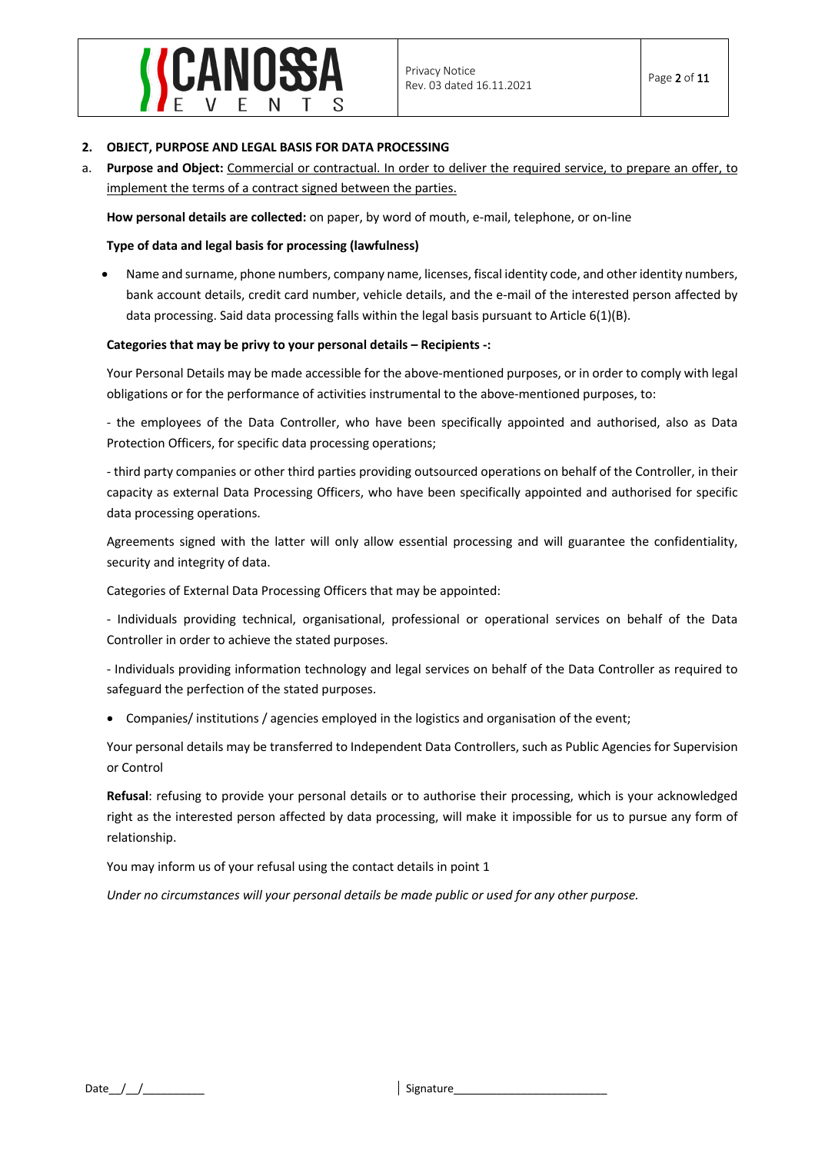

#### **2. OBJECT, PURPOSE AND LEGAL BASIS FOR DATA PROCESSING**

a. **Purpose and Object:** Commercial or contractual. In order to deliver the required service, to prepare an offer, to implement the terms of a contract signed between the parties.

**How personal details are collected:** on paper, by word of mouth, e-mail, telephone, or on-line

## **Type of data and legal basis for processing (lawfulness)**

• Name and surname, phone numbers, company name, licenses, fiscal identity code, and other identity numbers, bank account details, credit card number, vehicle details, and the e-mail of the interested person affected by data processing. Said data processing falls within the legal basis pursuant to Article 6(1)(B).

#### **Categories that may be privy to your personal details – Recipients -:**

Your Personal Details may be made accessible for the above-mentioned purposes, or in order to comply with legal obligations or for the performance of activities instrumental to the above-mentioned purposes, to:

- the employees of the Data Controller, who have been specifically appointed and authorised, also as Data Protection Officers, for specific data processing operations;

- third party companies or other third parties providing outsourced operations on behalf of the Controller, in their capacity as external Data Processing Officers, who have been specifically appointed and authorised for specific data processing operations.

Agreements signed with the latter will only allow essential processing and will guarantee the confidentiality, security and integrity of data.

Categories of External Data Processing Officers that may be appointed:

- Individuals providing technical, organisational, professional or operational services on behalf of the Data Controller in order to achieve the stated purposes.

- Individuals providing information technology and legal services on behalf of the Data Controller as required to safeguard the perfection of the stated purposes.

• Companies/ institutions / agencies employed in the logistics and organisation of the event;

Your personal details may be transferred to Independent Data Controllers, such as Public Agencies for Supervision or Control

**Refusal**: refusing to provide your personal details or to authorise their processing, which is your acknowledged right as the interested person affected by data processing, will make it impossible for us to pursue any form of relationship.

You may inform us of your refusal using the contact details in point 1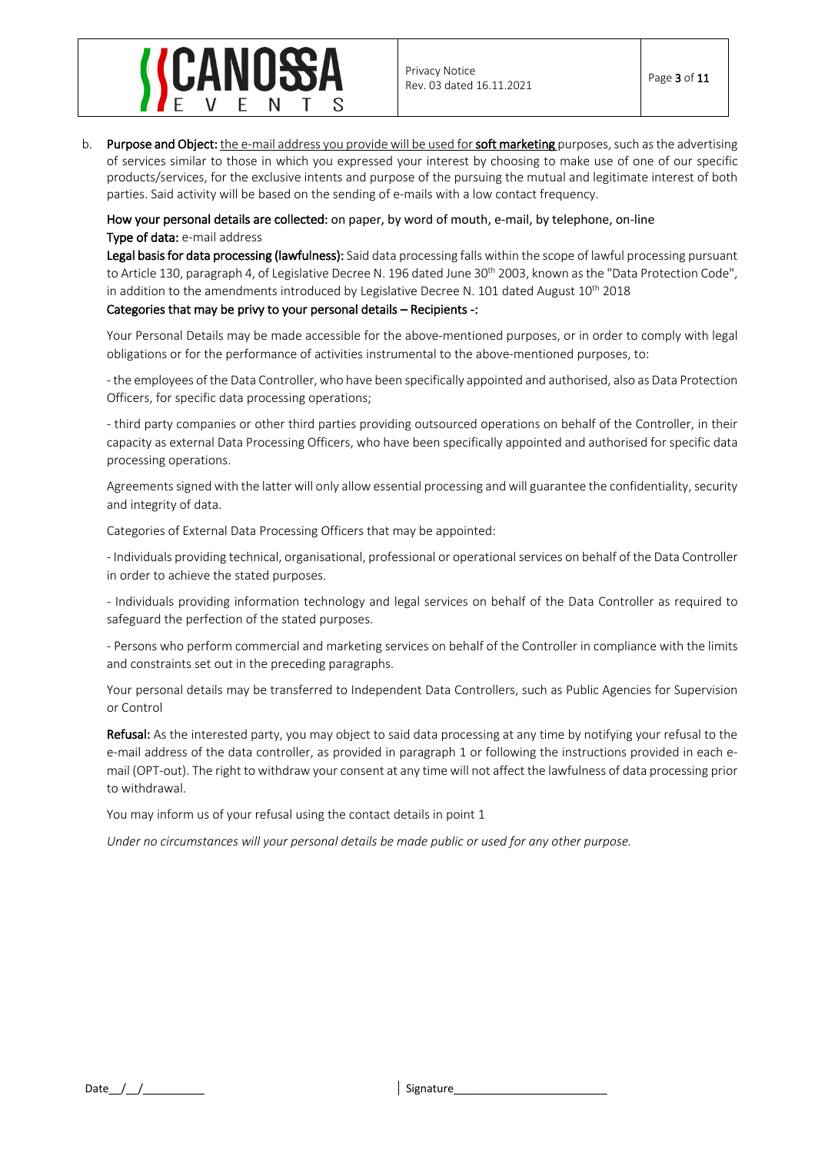## NOSSA

b. Purpose and Object: the e-mail address you provide will be used for soft marketing purposes, such as the advertising of services similar to those in which you expressed your interest by choosing to make use of one of our specific products/services, for the exclusive intents and purpose of the pursuing the mutual and legitimate interest of both parties. Said activity will be based on the sending of e-mails with a low contact frequency.

## How your personal details are collected: on paper, by word of mouth, e-mail, by telephone, on-line Type of data: e-mail address

Legal basis for data processing (lawfulness): Said data processing falls within the scope of lawful processing pursuant to Article 130, paragraph 4, of Legislative Decree N. 196 dated June 30<sup>th</sup> 2003, known as the "Data Protection Code", in addition to the amendments introduced by Legislative Decree N. 101 dated August  $10^{th}$  2018

## Categories that may be privy to your personal details – Recipients -:

Your Personal Details may be made accessible for the above-mentioned purposes, or in order to comply with legal obligations or for the performance of activities instrumental to the above-mentioned purposes, to:

- the employees of the Data Controller, who have been specifically appointed and authorised, also as Data Protection Officers, for specific data processing operations;

- third party companies or other third parties providing outsourced operations on behalf of the Controller, in their capacity as external Data Processing Officers, who have been specifically appointed and authorised for specific data processing operations.

Agreementssigned with the latter will only allow essential processing and will guarantee the confidentiality, security and integrity of data.

Categories of External Data Processing Officers that may be appointed:

- Individuals providing technical, organisational, professional or operational services on behalf of the Data Controller in order to achieve the stated purposes.

- Individuals providing information technology and legal services on behalf of the Data Controller as required to safeguard the perfection of the stated purposes.

- Persons who perform commercial and marketing services on behalf of the Controller in compliance with the limits and constraints set out in the preceding paragraphs.

Your personal details may be transferred to Independent Data Controllers, such as Public Agencies for Supervision or Control

Refusal: As the interested party, you may object to said data processing at any time by notifying your refusal to the e-mail address of the data controller, as provided in paragraph 1 or following the instructions provided in each email (OPT-out). The right to withdraw your consent at any time will not affect the lawfulness of data processing prior to withdrawal.

You may inform us of your refusal using the contact details in point 1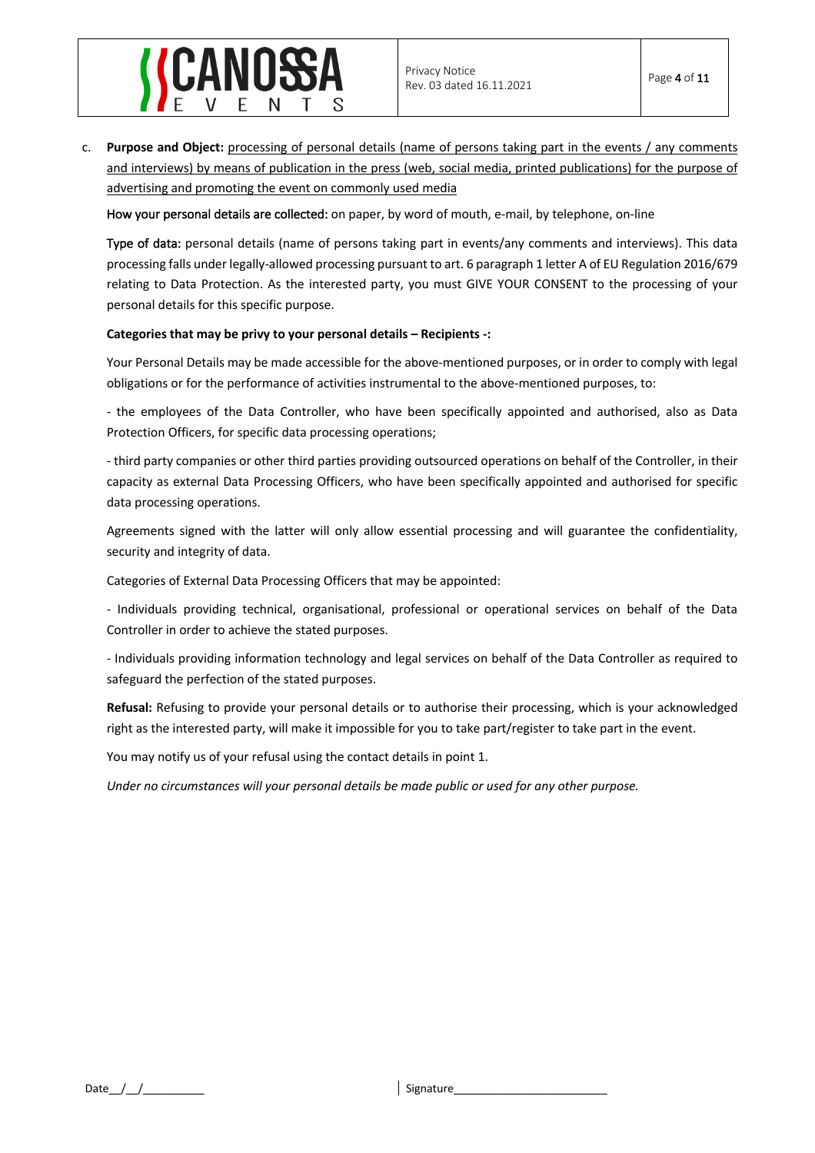

c. **Purpose and Object:** processing of personal details (name of persons taking part in the events / any comments and interviews) by means of publication in the press (web, social media, printed publications) for the purpose of advertising and promoting the event on commonly used media

How your personal details are collected: on paper, by word of mouth, e-mail, by telephone, on-line

Type of data: personal details (name of persons taking part in events/any comments and interviews). This data processing falls under legally-allowed processing pursuant to art. 6 paragraph 1 letter A of EU Regulation 2016/679 relating to Data Protection. As the interested party, you must GIVE YOUR CONSENT to the processing of your personal details for this specific purpose.

## **Categories that may be privy to your personal details – Recipients -:**

Your Personal Details may be made accessible for the above-mentioned purposes, or in order to comply with legal obligations or for the performance of activities instrumental to the above-mentioned purposes, to:

- the employees of the Data Controller, who have been specifically appointed and authorised, also as Data Protection Officers, for specific data processing operations;

- third party companies or other third parties providing outsourced operations on behalf of the Controller, in their capacity as external Data Processing Officers, who have been specifically appointed and authorised for specific data processing operations.

Agreements signed with the latter will only allow essential processing and will guarantee the confidentiality, security and integrity of data.

Categories of External Data Processing Officers that may be appointed:

- Individuals providing technical, organisational, professional or operational services on behalf of the Data Controller in order to achieve the stated purposes.

- Individuals providing information technology and legal services on behalf of the Data Controller as required to safeguard the perfection of the stated purposes.

**Refusal:** Refusing to provide your personal details or to authorise their processing, which is your acknowledged right as the interested party, will make it impossible for you to take part/register to take part in the event.

You may notify us of your refusal using the contact details in point 1.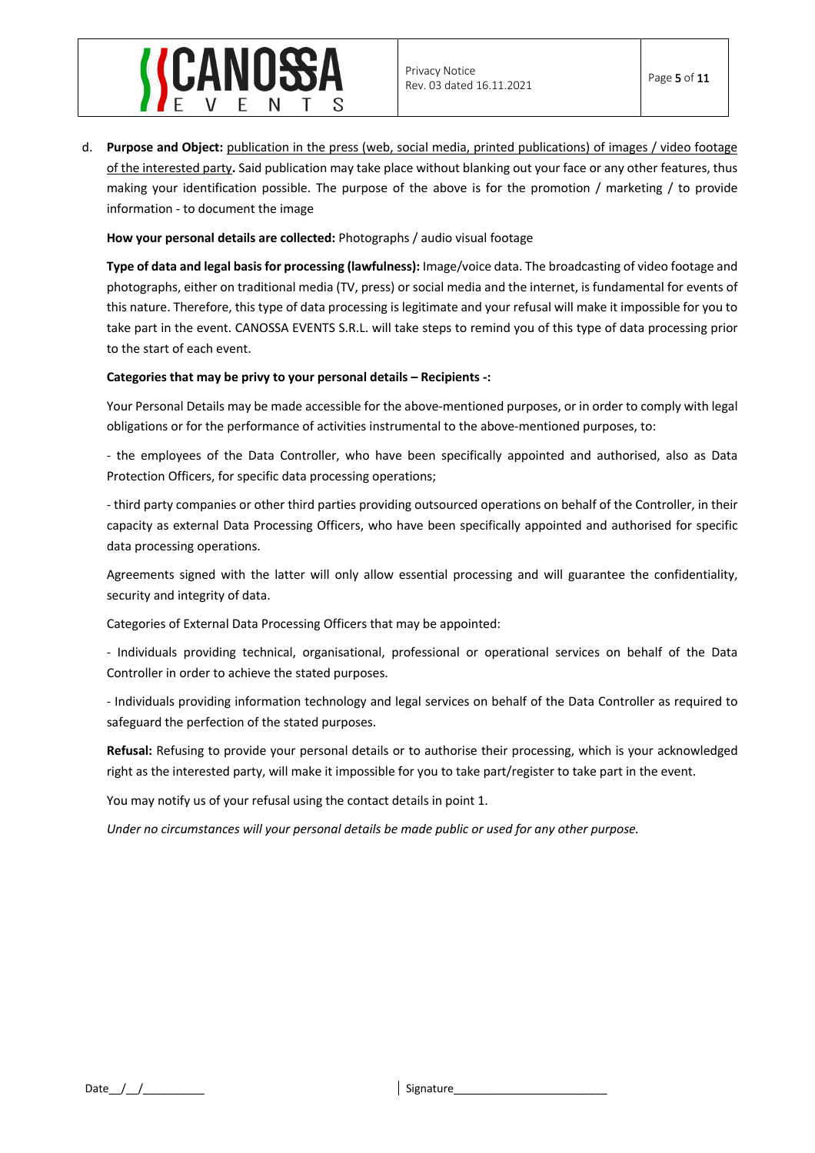

d. **Purpose and Object:** publication in the press (web, social media, printed publications) of images / video footage of the interested party**.** Said publication may take place without blanking out your face or any other features, thus making your identification possible. The purpose of the above is for the promotion / marketing / to provide information - to document the image

**How your personal details are collected:** Photographs / audio visual footage

**Type of data and legal basis for processing (lawfulness):** Image/voice data. The broadcasting of video footage and photographs, either on traditional media (TV, press) or social media and the internet, is fundamental for events of this nature. Therefore, this type of data processing is legitimate and your refusal will make it impossible for you to take part in the event. CANOSSA EVENTS S.R.L. will take steps to remind you of this type of data processing prior to the start of each event.

## **Categories that may be privy to your personal details – Recipients -:**

Your Personal Details may be made accessible for the above-mentioned purposes, or in order to comply with legal obligations or for the performance of activities instrumental to the above-mentioned purposes, to:

- the employees of the Data Controller, who have been specifically appointed and authorised, also as Data Protection Officers, for specific data processing operations;

- third party companies or other third parties providing outsourced operations on behalf of the Controller, in their capacity as external Data Processing Officers, who have been specifically appointed and authorised for specific data processing operations.

Agreements signed with the latter will only allow essential processing and will guarantee the confidentiality, security and integrity of data.

Categories of External Data Processing Officers that may be appointed:

- Individuals providing technical, organisational, professional or operational services on behalf of the Data Controller in order to achieve the stated purposes.

- Individuals providing information technology and legal services on behalf of the Data Controller as required to safeguard the perfection of the stated purposes.

**Refusal:** Refusing to provide your personal details or to authorise their processing, which is your acknowledged right as the interested party, will make it impossible for you to take part/register to take part in the event.

You may notify us of your refusal using the contact details in point 1.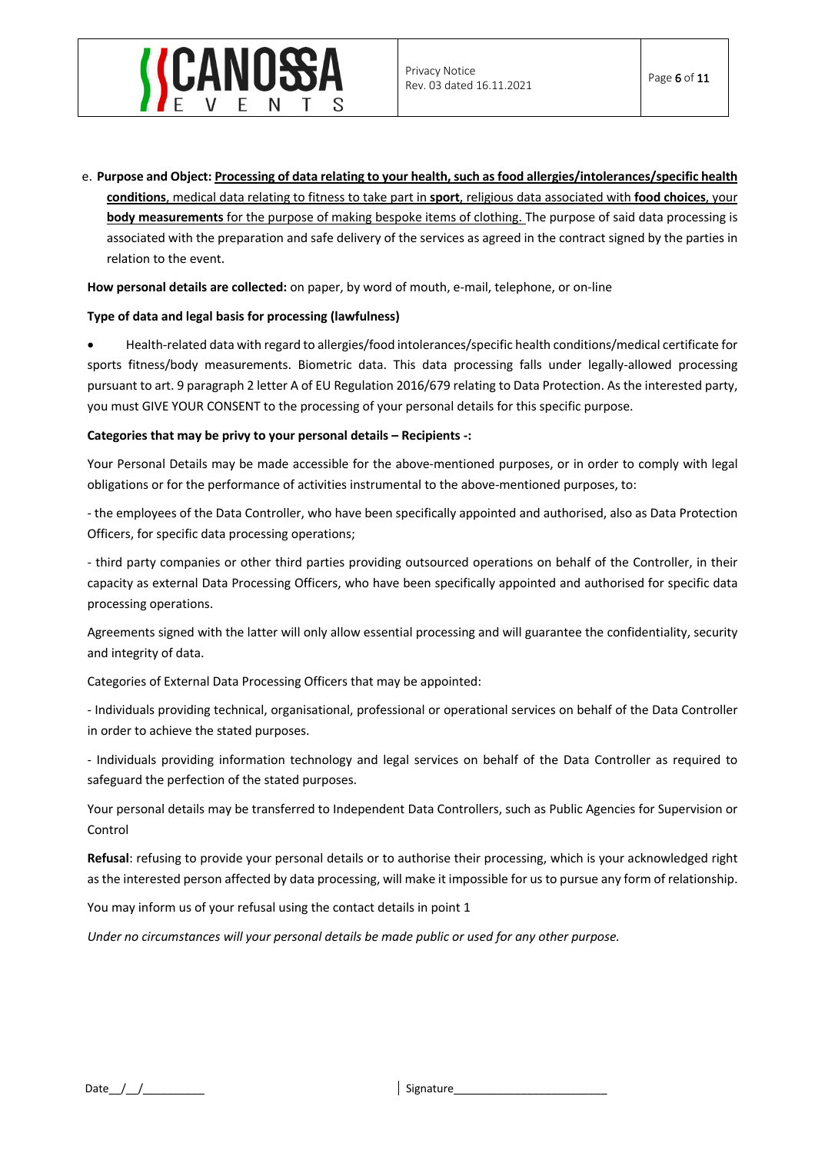# NOSSA

e. **Purpose and Object: Processing of data relating to your health, such as food allergies/intolerances/specific health conditions**, medical data relating to fitness to take part in **sport**, religious data associated with **food choices**, your **body measurements** for the purpose of making bespoke items of clothing. The purpose of said data processing is associated with the preparation and safe delivery of the services as agreed in the contract signed by the parties in relation to the event.

**How personal details are collected:** on paper, by word of mouth, e-mail, telephone, or on-line

## **Type of data and legal basis for processing (lawfulness)**

• Health-related data with regard to allergies/food intolerances/specific health conditions/medical certificate for sports fitness/body measurements. Biometric data. This data processing falls under legally-allowed processing pursuant to art. 9 paragraph 2 letter A of EU Regulation 2016/679 relating to Data Protection. As the interested party, you must GIVE YOUR CONSENT to the processing of your personal details for this specific purpose.

## **Categories that may be privy to your personal details – Recipients -:**

Your Personal Details may be made accessible for the above-mentioned purposes, or in order to comply with legal obligations or for the performance of activities instrumental to the above-mentioned purposes, to:

- the employees of the Data Controller, who have been specifically appointed and authorised, also as Data Protection Officers, for specific data processing operations;

- third party companies or other third parties providing outsourced operations on behalf of the Controller, in their capacity as external Data Processing Officers, who have been specifically appointed and authorised for specific data processing operations.

Agreements signed with the latter will only allow essential processing and will guarantee the confidentiality, security and integrity of data.

Categories of External Data Processing Officers that may be appointed:

- Individuals providing technical, organisational, professional or operational services on behalf of the Data Controller in order to achieve the stated purposes.

- Individuals providing information technology and legal services on behalf of the Data Controller as required to safeguard the perfection of the stated purposes.

Your personal details may be transferred to Independent Data Controllers, such as Public Agencies for Supervision or Control

**Refusal**: refusing to provide your personal details or to authorise their processing, which is your acknowledged right as the interested person affected by data processing, will make it impossible for us to pursue any form of relationship.

You may inform us of your refusal using the contact details in point 1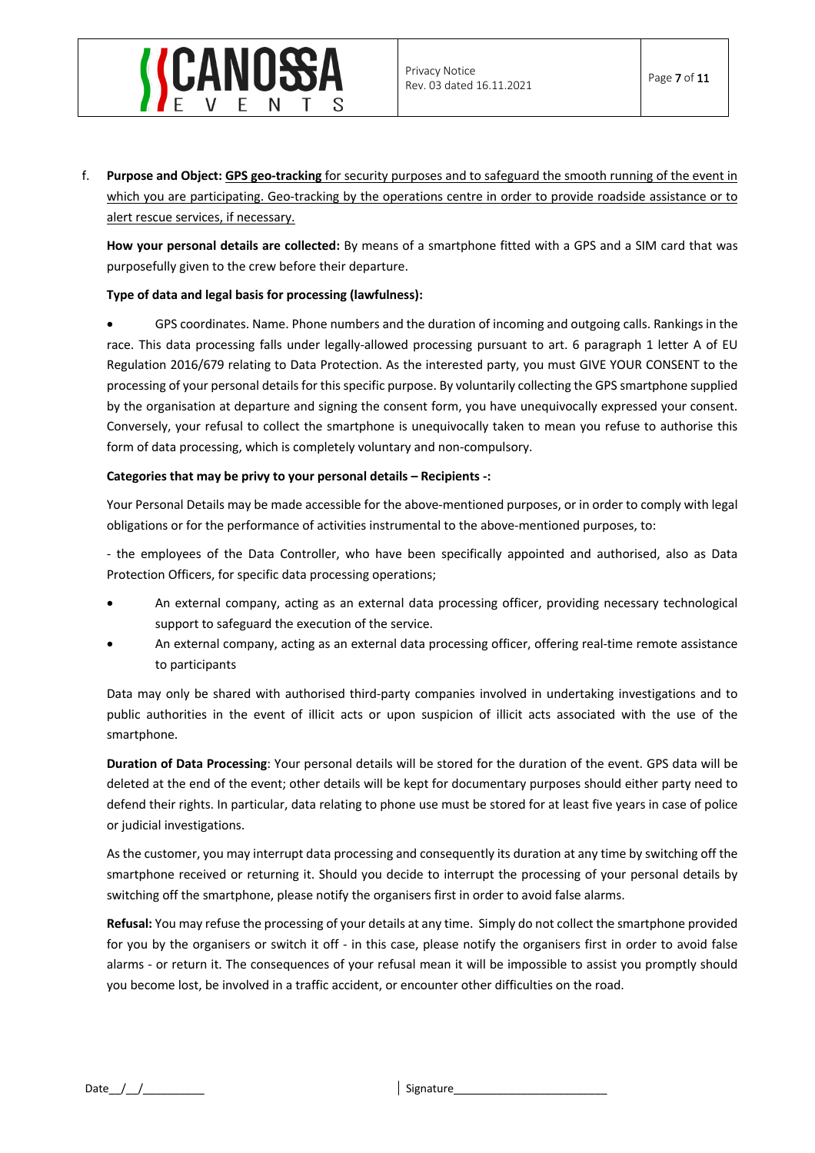

f. **Purpose and Object: GPS geo-tracking** for security purposes and to safeguard the smooth running of the event in which you are participating. Geo-tracking by the operations centre in order to provide roadside assistance or to alert rescue services, if necessary.

**How your personal details are collected:** By means of a smartphone fitted with a GPS and a SIM card that was purposefully given to the crew before their departure.

## **Type of data and legal basis for processing (lawfulness):**

• GPS coordinates. Name. Phone numbers and the duration of incoming and outgoing calls. Rankings in the race. This data processing falls under legally-allowed processing pursuant to art. 6 paragraph 1 letter A of EU Regulation 2016/679 relating to Data Protection. As the interested party, you must GIVE YOUR CONSENT to the processing of your personal details for this specific purpose. By voluntarily collecting the GPS smartphone supplied by the organisation at departure and signing the consent form, you have unequivocally expressed your consent. Conversely, your refusal to collect the smartphone is unequivocally taken to mean you refuse to authorise this form of data processing, which is completely voluntary and non-compulsory.

## **Categories that may be privy to your personal details – Recipients -:**

Your Personal Details may be made accessible for the above-mentioned purposes, or in order to comply with legal obligations or for the performance of activities instrumental to the above-mentioned purposes, to:

- the employees of the Data Controller, who have been specifically appointed and authorised, also as Data Protection Officers, for specific data processing operations;

- An external company, acting as an external data processing officer, providing necessary technological support to safeguard the execution of the service.
- An external company, acting as an external data processing officer, offering real-time remote assistance to participants

Data may only be shared with authorised third-party companies involved in undertaking investigations and to public authorities in the event of illicit acts or upon suspicion of illicit acts associated with the use of the smartphone.

**Duration of Data Processing**: Your personal details will be stored for the duration of the event. GPS data will be deleted at the end of the event; other details will be kept for documentary purposes should either party need to defend their rights. In particular, data relating to phone use must be stored for at least five years in case of police or judicial investigations.

As the customer, you may interrupt data processing and consequently its duration at any time by switching off the smartphone received or returning it. Should you decide to interrupt the processing of your personal details by switching off the smartphone, please notify the organisers first in order to avoid false alarms.

**Refusal:** You may refuse the processing of your details at any time. Simply do not collect the smartphone provided for you by the organisers or switch it off - in this case, please notify the organisers first in order to avoid false alarms - or return it. The consequences of your refusal mean it will be impossible to assist you promptly should you become lost, be involved in a traffic accident, or encounter other difficulties on the road.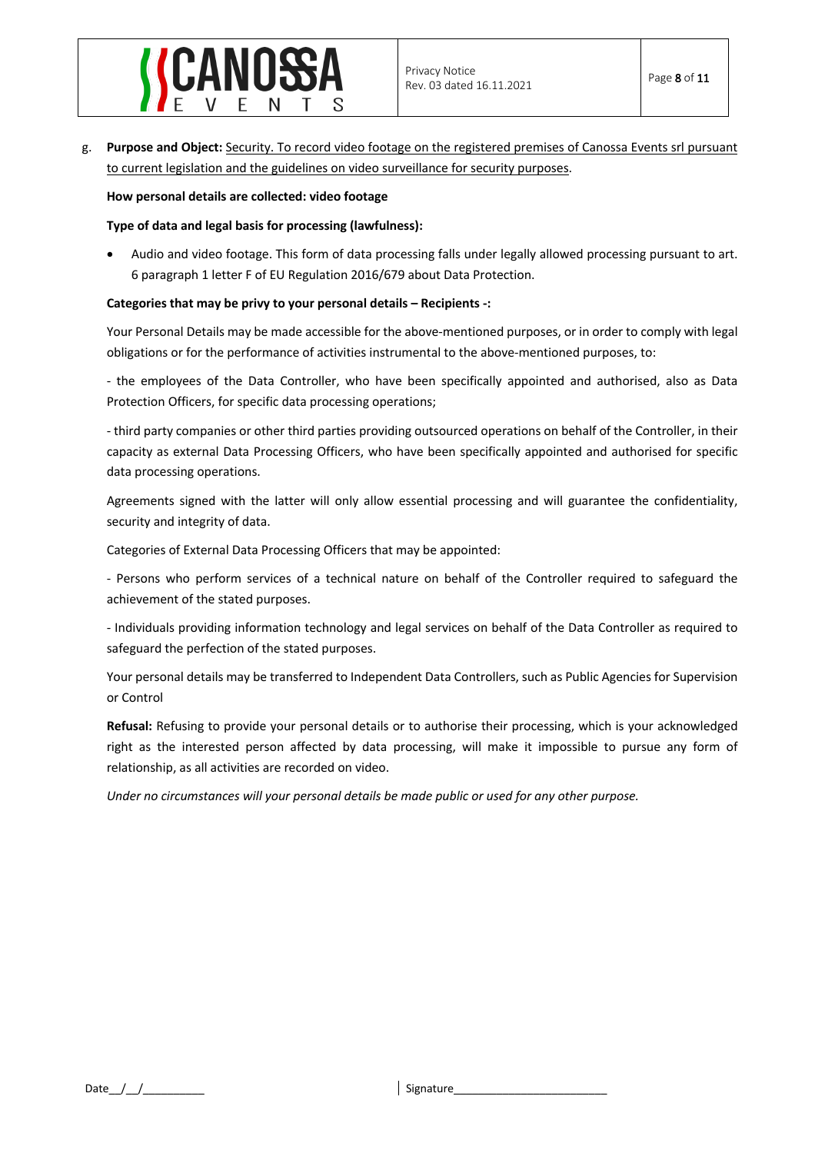

g. **Purpose and Object:** Security. To record video footage on the registered premises of Canossa Events srl pursuant to current legislation and the guidelines on video surveillance for security purposes.

## **How personal details are collected: video footage**

## **Type of data and legal basis for processing (lawfulness):**

• Audio and video footage. This form of data processing falls under legally allowed processing pursuant to art. 6 paragraph 1 letter F of EU Regulation 2016/679 about Data Protection.

#### **Categories that may be privy to your personal details – Recipients -:**

Your Personal Details may be made accessible for the above-mentioned purposes, or in order to comply with legal obligations or for the performance of activities instrumental to the above-mentioned purposes, to:

- the employees of the Data Controller, who have been specifically appointed and authorised, also as Data Protection Officers, for specific data processing operations;

- third party companies or other third parties providing outsourced operations on behalf of the Controller, in their capacity as external Data Processing Officers, who have been specifically appointed and authorised for specific data processing operations.

Agreements signed with the latter will only allow essential processing and will guarantee the confidentiality, security and integrity of data.

Categories of External Data Processing Officers that may be appointed:

- Persons who perform services of a technical nature on behalf of the Controller required to safeguard the achievement of the stated purposes.

- Individuals providing information technology and legal services on behalf of the Data Controller as required to safeguard the perfection of the stated purposes.

Your personal details may be transferred to Independent Data Controllers, such as Public Agencies for Supervision or Control

**Refusal:** Refusing to provide your personal details or to authorise their processing, which is your acknowledged right as the interested person affected by data processing, will make it impossible to pursue any form of relationship, as all activities are recorded on video.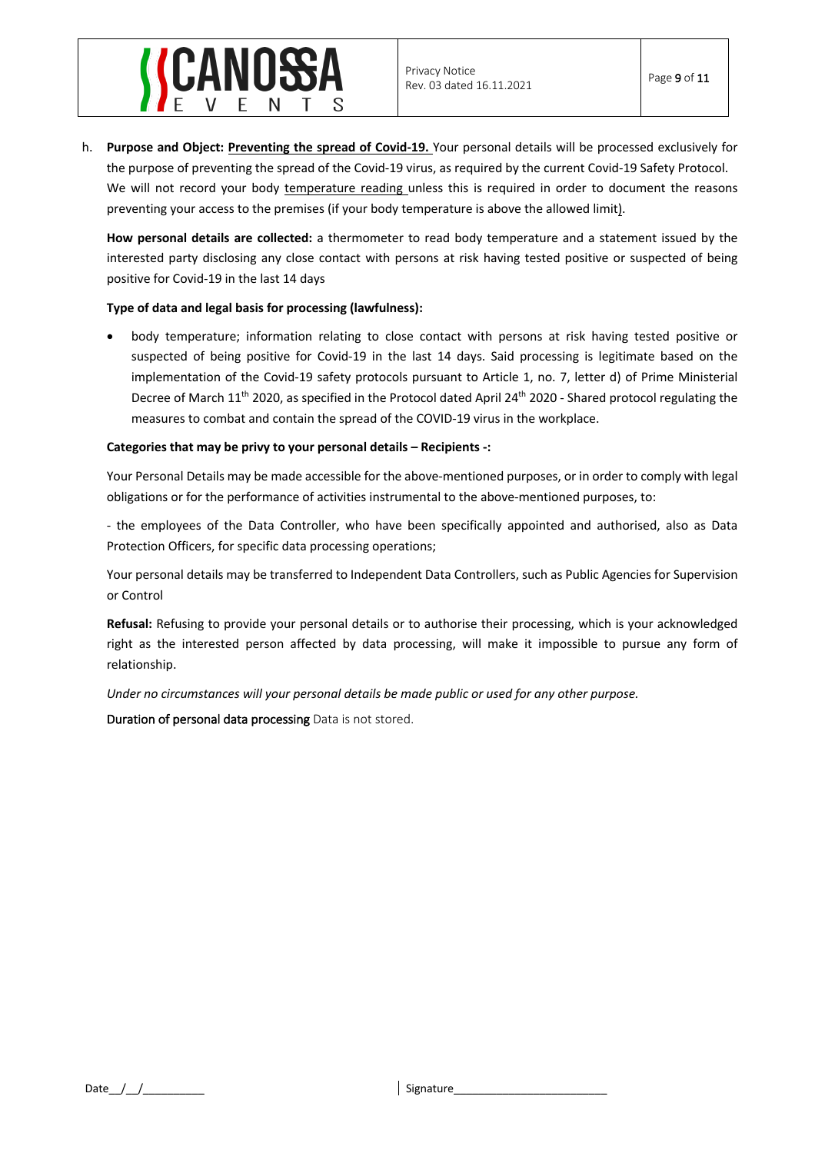

h. **Purpose and Object: Preventing the spread of Covid-19.** Your personal details will be processed exclusively for the purpose of preventing the spread of the Covid-19 virus, as required by the current Covid-19 Safety Protocol. We will not record your body temperature reading unless this is required in order to document the reasons preventing your access to the premises (if your body temperature is above the allowed limit).

**How personal details are collected:** a thermometer to read body temperature and a statement issued by the interested party disclosing any close contact with persons at risk having tested positive or suspected of being positive for Covid-19 in the last 14 days

## **Type of data and legal basis for processing (lawfulness):**

• body temperature; information relating to close contact with persons at risk having tested positive or suspected of being positive for Covid-19 in the last 14 days. Said processing is legitimate based on the implementation of the Covid-19 safety protocols pursuant to Article 1, no. 7, letter d) of Prime Ministerial Decree of March 11<sup>th</sup> 2020, as specified in the Protocol dated April 24<sup>th</sup> 2020 - Shared protocol regulating the measures to combat and contain the spread of the COVID-19 virus in the workplace.

## **Categories that may be privy to your personal details – Recipients -:**

Your Personal Details may be made accessible for the above-mentioned purposes, or in order to comply with legal obligations or for the performance of activities instrumental to the above-mentioned purposes, to:

- the employees of the Data Controller, who have been specifically appointed and authorised, also as Data Protection Officers, for specific data processing operations;

Your personal details may be transferred to Independent Data Controllers, such as Public Agencies for Supervision or Control

**Refusal:** Refusing to provide your personal details or to authorise their processing, which is your acknowledged right as the interested person affected by data processing, will make it impossible to pursue any form of relationship.

*Under no circumstances will your personal details be made public or used for any other purpose.*

Duration of personal data processing Data is not stored.

Date\_\_/\_\_/\_\_\_\_\_\_\_\_\_\_ Signature\_\_\_\_\_\_\_\_\_\_\_\_\_\_\_\_\_\_\_\_\_\_\_\_\_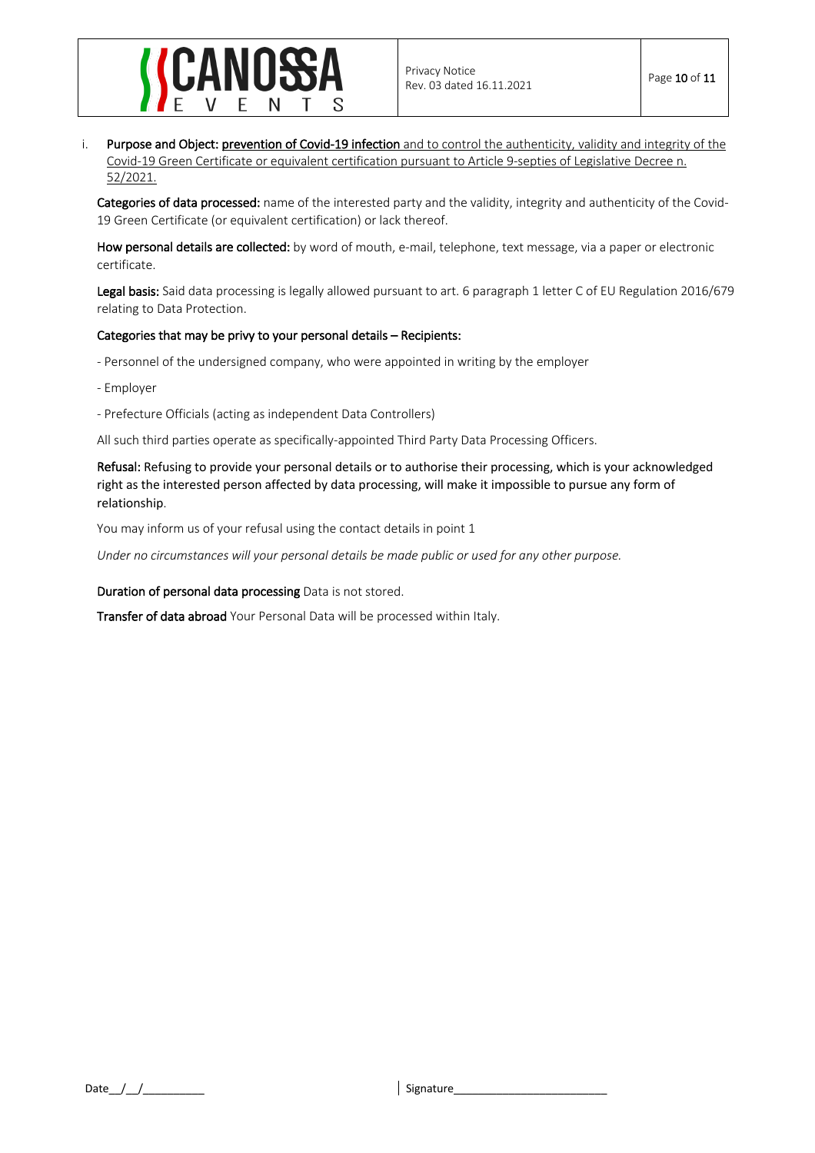

i. Purpose and Object: prevention of Covid-19 infection and to control the authenticity, validity and integrity of the Covid-19 Green Certificate or equivalent certification pursuant to Article 9-septies of Legislative Decree n. 52/2021.

Categories of data processed: name of the interested party and the validity, integrity and authenticity of the Covid-19 Green Certificate (or equivalent certification) or lack thereof.

How personal details are collected: by word of mouth, e-mail, telephone, text message, via a paper or electronic certificate.

Legal basis: Said data processing is legally allowed pursuant to art. 6 paragraph 1 letter C of EU Regulation 2016/679 relating to Data Protection.

## Categories that may be privy to your personal details – Recipients:

- Personnel of the undersigned company, who were appointed in writing by the employer

- Employer
- Prefecture Officials (acting as independent Data Controllers)

All such third parties operate as specifically-appointed Third Party Data Processing Officers.

Refusal: Refusing to provide your personal details or to authorise their processing, which is your acknowledged right as the interested person affected by data processing, will make it impossible to pursue any form of relationship.

You may inform us of your refusal using the contact details in point 1

*Under no circumstances will your personal details be made public or used for any other purpose.*

Duration of personal data processing Data is not stored.

Transfer of data abroad Your Personal Data will be processed within Italy.

Date\_\_/\_\_/\_\_\_\_\_\_\_\_\_\_ Signature\_\_\_\_\_\_\_\_\_\_\_\_\_\_\_\_\_\_\_\_\_\_\_\_\_